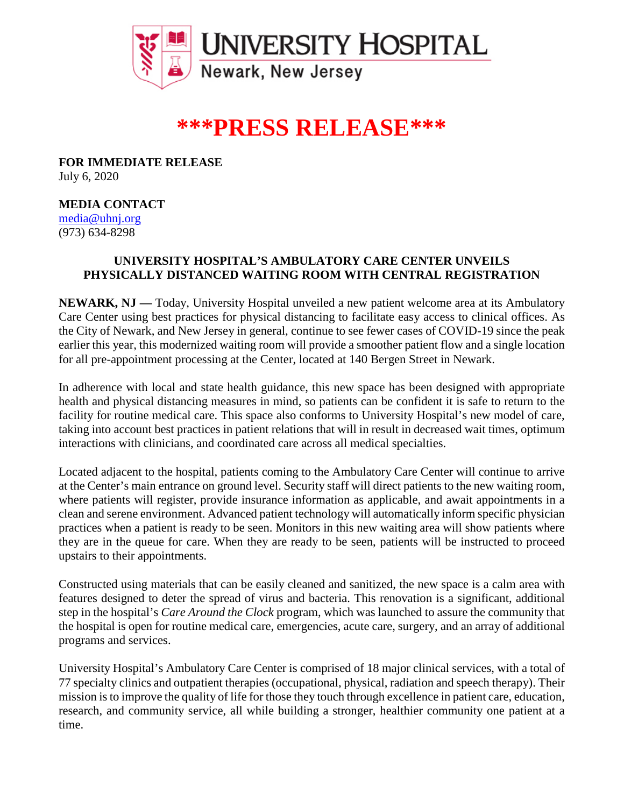

# **\*\*\*PRESS RELEASE\*\*\***

**FOR IMMEDIATE RELEASE** July 6, 2020

## **MEDIA CONTACT**

[media@uhnj.org](about:blank) (973) 634-8298

## **UNIVERSITY HOSPITAL'S AMBULATORY CARE CENTER UNVEILS PHYSICALLY DISTANCED WAITING ROOM WITH CENTRAL REGISTRATION**

**NEWARK, NJ —** Today, University Hospital unveiled a new patient welcome area at its Ambulatory Care Center using best practices for physical distancing to facilitate easy access to clinical offices. As the City of Newark, and New Jersey in general, continue to see fewer cases of COVID-19 since the peak earlier this year, this modernized waiting room will provide a smoother patient flow and a single location for all pre-appointment processing at the Center, located at 140 Bergen Street in Newark.

In adherence with local and state health guidance, this new space has been designed with appropriate health and physical distancing measures in mind, so patients can be confident it is safe to return to the facility for routine medical care. This space also conforms to University Hospital's new model of care, taking into account best practices in patient relations that will in result in decreased wait times, optimum interactions with clinicians, and coordinated care across all medical specialties.

Located adjacent to the hospital, patients coming to the Ambulatory Care Center will continue to arrive at the Center's main entrance on ground level. Security staff will direct patients to the new waiting room, where patients will register, provide insurance information as applicable, and await appointments in a clean and serene environment. Advanced patient technology will automatically inform specific physician practices when a patient is ready to be seen. Monitors in this new waiting area will show patients where they are in the queue for care. When they are ready to be seen, patients will be instructed to proceed upstairs to their appointments.

Constructed using materials that can be easily cleaned and sanitized, the new space is a calm area with features designed to deter the spread of virus and bacteria. This renovation is a significant, additional step in the hospital's *Care Around the Clock* program, which was launched to assure the community that the hospital is open for routine medical care, emergencies, acute care, surgery, and an array of additional programs and services.

University Hospital's Ambulatory Care Center is comprised of 18 major clinical services, with a total of 77 specialty clinics and outpatient therapies (occupational, physical, radiation and speech therapy). Their mission is to improve the quality of life for those they touch through excellence in patient care, education, research, and community service, all while building a stronger, healthier community one patient at a time.